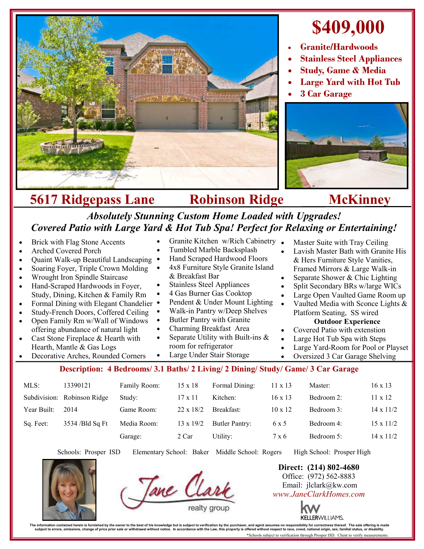

## **\$409,000**

- **Granite/Hardwoods**
- **Stainless Steel Appliances**
- **Study, Game & Media**
- **Large Yard with Hot Tub**
- **3 Car Garage**



## **5617 Ridgepass Lane Robinson Ridge McKinney** *Absolutely Stunning Custom Home Loaded with Upgrades!*

| Covered Patio with Large Yard & Hot Tub Spa! Perfect for Relaxing or Entertaining!                                                                                                                                                                                                                                                                                                                                                                                                                                                                                                                                                                             |                             |              |                                                                                                                                                                                                                                                                                                                                                                                                                                                   |                |                |                                                                                                                                                                                                                                                                                                                                                                                                                                                                                                                                                                                              |                  |  |
|----------------------------------------------------------------------------------------------------------------------------------------------------------------------------------------------------------------------------------------------------------------------------------------------------------------------------------------------------------------------------------------------------------------------------------------------------------------------------------------------------------------------------------------------------------------------------------------------------------------------------------------------------------------|-----------------------------|--------------|---------------------------------------------------------------------------------------------------------------------------------------------------------------------------------------------------------------------------------------------------------------------------------------------------------------------------------------------------------------------------------------------------------------------------------------------------|----------------|----------------|----------------------------------------------------------------------------------------------------------------------------------------------------------------------------------------------------------------------------------------------------------------------------------------------------------------------------------------------------------------------------------------------------------------------------------------------------------------------------------------------------------------------------------------------------------------------------------------------|------------------|--|
| Brick with Flag Stone Accents<br>$\bullet$<br><b>Arched Covered Porch</b><br>Quaint Walk-up Beautiful Landscaping<br>$\bullet$<br>Soaring Foyer, Triple Crown Molding<br>$\bullet$<br>Wrought Iron Spindle Staircase<br>$\bullet$<br>Hand-Scraped Hardwoods in Foyer,<br>$\bullet$<br>Study, Dining, Kitchen & Family Rm<br>Formal Dining with Elegant Chandelier<br>$\bullet$<br>Study-French Doors, Coffered Ceiling<br>$\bullet$<br>Open Family Rm w/Wall of Windows<br>$\bullet$<br>offering abundance of natural light<br>Cast Stone Fireplace & Hearth with<br>$\bullet$<br>Hearth, Mantle & Gas Logs<br>Decorative Arches, Rounded Corners<br>$\bullet$ |                             |              | Granite Kitchen w/Rich Cabinetry<br>Tumbled Marble Backsplash<br>Hand Scraped Hardwood Floors<br>4x8 Furniture Style Granite Island<br>& Breakfast Bar<br><b>Stainless Steel Appliances</b><br>4 Gas Burner Gas Cooktop<br>Pendent & Under Mount Lighting<br>Walk-in Pantry w/Deep Shelves<br>Butler Pantry with Granite<br>Charming Breakfast Area<br>Separate Utility with Built-ins $\&$<br>room for refrigerator<br>Large Under Stair Storage |                |                | Master Suite with Tray Ceiling<br>Lavish Master Bath with Granite His<br>& Hers Furniture Style Vanities,<br>Framed Mirrors & Large Walk-in<br>Separate Shower & Chic Lighting<br>$\bullet$<br>Split Secondary BRs w/large WICs<br>Large Open Vaulted Game Room up<br>$\bullet$<br>Vaulted Media with Sconce Lights &<br>$\bullet$<br>Platform Seating, SS wired<br><b>Outdoor Experience</b><br>Covered Patio with extenstion<br>$\bullet$<br>Large Hot Tub Spa with Steps<br>$\bullet$<br>Large Yard-Room for Pool or Playset<br>$\bullet$<br>Oversized 3 Car Garage Shelving<br>$\bullet$ |                  |  |
| Description: 4 Bedrooms/ 3.1 Baths/ 2 Living/ 2 Dining/ Study/ Game/ 3 Car Garage                                                                                                                                                                                                                                                                                                                                                                                                                                                                                                                                                                              |                             |              |                                                                                                                                                                                                                                                                                                                                                                                                                                                   |                |                |                                                                                                                                                                                                                                                                                                                                                                                                                                                                                                                                                                                              |                  |  |
| MLS:                                                                                                                                                                                                                                                                                                                                                                                                                                                                                                                                                                                                                                                           | 13390121                    | Family Room: | $15 \times 18$                                                                                                                                                                                                                                                                                                                                                                                                                                    | Formal Dining: | $11 \times 13$ | Master:                                                                                                                                                                                                                                                                                                                                                                                                                                                                                                                                                                                      | $16 \times 13$   |  |
|                                                                                                                                                                                                                                                                                                                                                                                                                                                                                                                                                                                                                                                                | Subdivision: Robinson Ridge | Study:       | $17 \times 11$                                                                                                                                                                                                                                                                                                                                                                                                                                    | Kitchen:       | $16 \times 13$ | Bedroom 2:                                                                                                                                                                                                                                                                                                                                                                                                                                                                                                                                                                                   | $11 \times 12$   |  |
| Year Built:                                                                                                                                                                                                                                                                                                                                                                                                                                                                                                                                                                                                                                                    | 2014                        | Game Room:   | $22 \times 18/2$                                                                                                                                                                                                                                                                                                                                                                                                                                  | Breakfast:     | $10 \times 12$ | Bedroom 3:                                                                                                                                                                                                                                                                                                                                                                                                                                                                                                                                                                                   | $14 \times 11/2$ |  |

Sq. Feet: 3534 /Bld Sq Ft Media Room: 13 x 19/2 Butler Pantry: 6 x 5 Bedroom 4: 15 x 11/2

Garage: 2 Car Utility:  $7 \times 6$  Bedroom 5:  $14 \times 11/2$ 

Schools: Prosper ISD Elementary School: Baker Middle School: Rogers High School: Prosper High





**Direct: (214) 802-4680** Office: (972) 562-8883 Email: jlclark@kw.com *www.JaneClarkHomes.com*



The information contained heren is furnished by the owner to the best of his knowledge but is subject to verification by the purchaser, and agent assumes no responsibility for corrections the subject to errors, omissions, \*Schools subject to verification through Prosper ISD. Client to verify measurements.